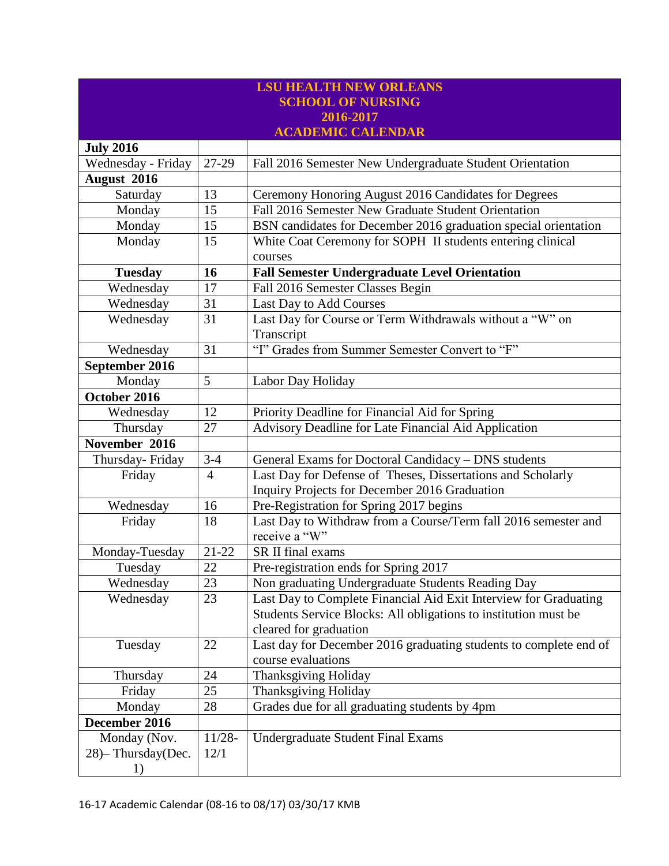| <b>LSU HEALTH NEW ORLEANS</b> |                |                                                                   |  |  |  |
|-------------------------------|----------------|-------------------------------------------------------------------|--|--|--|
| <b>SCHOOL OF NURSING</b>      |                |                                                                   |  |  |  |
|                               |                | 2016-2017                                                         |  |  |  |
|                               |                | <b>ACADEMIC CALENDAR</b>                                          |  |  |  |
| <b>July 2016</b>              |                |                                                                   |  |  |  |
| Wednesday - Friday            | 27-29          | Fall 2016 Semester New Undergraduate Student Orientation          |  |  |  |
| August 2016                   |                |                                                                   |  |  |  |
| Saturday                      | 13             | Ceremony Honoring August 2016 Candidates for Degrees              |  |  |  |
| Monday                        | 15             | Fall 2016 Semester New Graduate Student Orientation               |  |  |  |
| Monday                        | 15             | BSN candidates for December 2016 graduation special orientation   |  |  |  |
| Monday                        | 15             | White Coat Ceremony for SOPH II students entering clinical        |  |  |  |
|                               |                | courses                                                           |  |  |  |
| <b>Tuesday</b>                | 16             | <b>Fall Semester Undergraduate Level Orientation</b>              |  |  |  |
| Wednesday                     | 17             | Fall 2016 Semester Classes Begin                                  |  |  |  |
| Wednesday                     | 31             | Last Day to Add Courses                                           |  |  |  |
| Wednesday                     | 31             | Last Day for Course or Term Withdrawals without a "W" on          |  |  |  |
|                               |                | Transcript                                                        |  |  |  |
| Wednesday                     | 31             | "I" Grades from Summer Semester Convert to "F"                    |  |  |  |
| September 2016                |                |                                                                   |  |  |  |
| Monday                        | 5              | Labor Day Holiday                                                 |  |  |  |
| October 2016                  |                |                                                                   |  |  |  |
| Wednesday                     | 12             | Priority Deadline for Financial Aid for Spring                    |  |  |  |
| Thursday                      | 27             | Advisory Deadline for Late Financial Aid Application              |  |  |  |
| November 2016                 |                |                                                                   |  |  |  |
| Thursday-Friday               | $3 - 4$        | General Exams for Doctoral Candidacy - DNS students               |  |  |  |
| Friday                        | $\overline{4}$ | Last Day for Defense of Theses, Dissertations and Scholarly       |  |  |  |
|                               |                | Inquiry Projects for December 2016 Graduation                     |  |  |  |
| Wednesday                     | 16             | Pre-Registration for Spring 2017 begins                           |  |  |  |
| Friday                        | 18             | Last Day to Withdraw from a Course/Term fall 2016 semester and    |  |  |  |
|                               |                | receive a "W"                                                     |  |  |  |
| Monday-Tuesday                | $21 - 22$      | SR II final exams                                                 |  |  |  |
| Tuesday                       | 22             | Pre-registration ends for Spring 2017                             |  |  |  |
| Wednesday                     | 23             | Non graduating Undergraduate Students Reading Day                 |  |  |  |
| Wednesday                     | 23             | Last Day to Complete Financial Aid Exit Interview for Graduating  |  |  |  |
|                               |                | Students Service Blocks: All obligations to institution must be   |  |  |  |
|                               |                | cleared for graduation                                            |  |  |  |
| Tuesday                       | 22             | Last day for December 2016 graduating students to complete end of |  |  |  |
|                               |                | course evaluations                                                |  |  |  |
| Thursday                      | 24             | <b>Thanksgiving Holiday</b>                                       |  |  |  |
| Friday                        | 25             | <b>Thanksgiving Holiday</b>                                       |  |  |  |
| Monday                        | 28             | Grades due for all graduating students by 4pm                     |  |  |  |
| December 2016                 |                |                                                                   |  |  |  |
| Monday (Nov.                  | $11/28 -$      | <b>Undergraduate Student Final Exams</b>                          |  |  |  |
| 28) - Thursday(Dec.           | 12/1           |                                                                   |  |  |  |
| 1)                            |                |                                                                   |  |  |  |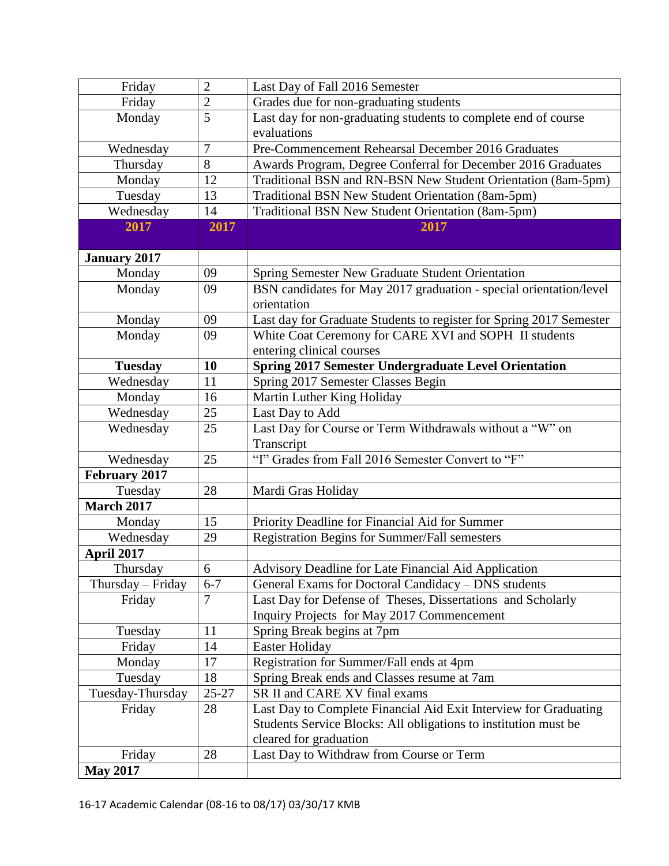| Friday               | $\overline{2}$ | Last Day of Fall 2016 Semester                                      |
|----------------------|----------------|---------------------------------------------------------------------|
| Friday               | $\overline{2}$ | Grades due for non-graduating students                              |
| Monday               | $\overline{5}$ | Last day for non-graduating students to complete end of course      |
|                      |                | evaluations                                                         |
| Wednesday            | $\tau$         | Pre-Commencement Rehearsal December 2016 Graduates                  |
| Thursday             | 8              | Awards Program, Degree Conferral for December 2016 Graduates        |
| Monday               | 12             | Traditional BSN and RN-BSN New Student Orientation (8am-5pm)        |
| Tuesday              | 13             | Traditional BSN New Student Orientation (8am-5pm)                   |
| Wednesday            | 14             | Traditional BSN New Student Orientation (8am-5pm)                   |
| 2017                 | 2017           | 2017                                                                |
|                      |                |                                                                     |
| <b>January 2017</b>  |                |                                                                     |
| Monday               | 09             | Spring Semester New Graduate Student Orientation                    |
| Monday               | 09             | BSN candidates for May 2017 graduation - special orientation/level  |
|                      |                | orientation                                                         |
| Monday               | 09             | Last day for Graduate Students to register for Spring 2017 Semester |
| Monday               | 09             | White Coat Ceremony for CARE XVI and SOPH II students               |
|                      |                | entering clinical courses                                           |
| <b>Tuesday</b>       | 10             | <b>Spring 2017 Semester Undergraduate Level Orientation</b>         |
| Wednesday            | 11             | Spring 2017 Semester Classes Begin                                  |
| Monday               | 16             | Martin Luther King Holiday                                          |
| Wednesday            | 25             | Last Day to Add                                                     |
| Wednesday            | 25             | Last Day for Course or Term Withdrawals without a "W" on            |
|                      |                | Transcript                                                          |
| Wednesday            | 25             | "I" Grades from Fall 2016 Semester Convert to "F"                   |
| <b>February 2017</b> |                |                                                                     |
| Tuesday              | 28             | Mardi Gras Holiday                                                  |
| <b>March 2017</b>    |                |                                                                     |
| Monday               | 15             | Priority Deadline for Financial Aid for Summer                      |
| Wednesday            | 29             | Registration Begins for Summer/Fall semesters                       |
| <b>April 2017</b>    |                |                                                                     |
| Thursday             | 6              | Advisory Deadline for Late Financial Aid Application                |
| $Thursday - Friday$  | $6 - 7$        | General Exams for Doctoral Candidacy - DNS students                 |
| Friday               | $\overline{7}$ | Last Day for Defense of Theses, Dissertations and Scholarly         |
|                      |                | Inquiry Projects for May 2017 Commencement                          |
| Tuesday              | 11             | Spring Break begins at 7pm                                          |
| Friday               | 14             | Easter Holiday                                                      |
| Monday               | 17             | Registration for Summer/Fall ends at 4pm                            |
| Tuesday              | 18             | Spring Break ends and Classes resume at 7am                         |
| Tuesday-Thursday     | $25 - 27$      | SR II and CARE XV final exams                                       |
| Friday               | 28             | Last Day to Complete Financial Aid Exit Interview for Graduating    |
|                      |                | Students Service Blocks: All obligations to institution must be     |
|                      |                | cleared for graduation                                              |
| Friday               | 28             | Last Day to Withdraw from Course or Term                            |
| <b>May 2017</b>      |                |                                                                     |